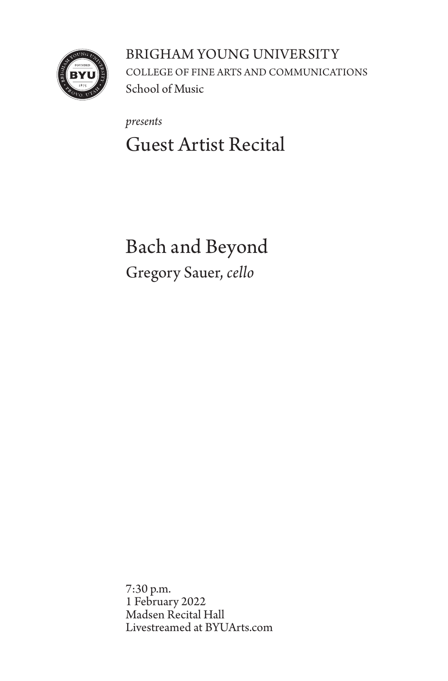

BRIGHAM YOUNG UNIVERSITY COLLEGE OF FINE ARTS AND COMMUNICATIONS School of Music

*presents* Guest Artist Recital

Bach and Beyond Gregory Sauer, *cello*

7:30 p.m. 1 February 2022 Madsen Recital Hall Livestreamed at BYUArts.com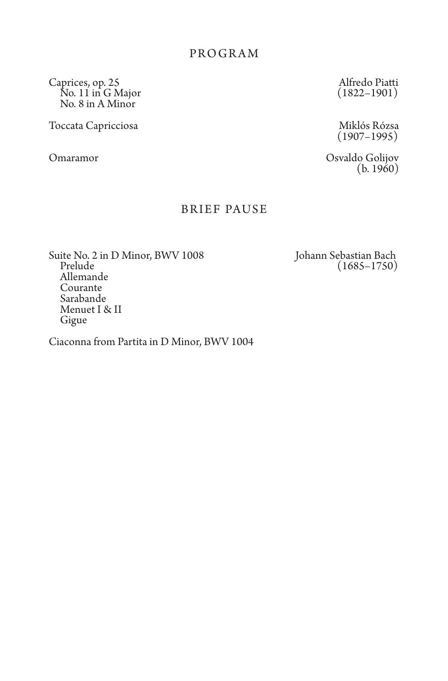Caprices, op. 25 Alfredo Piatti No. 11 in G Major (1822–1901) No. 8 in A Minor

Toccata Capricciosa Miklós Rózsa (1907–1995)

Omaramor Osvaldo Golijov (b. 1960)

## BRIEF PAUSE

Suite No. 2 in D Minor, BWV 1008 Johann Sebastian Bach<br>Prelude (1685–1750) Allemande Courante Sarabande Menuet I & II Gigue

Ciaconna from Partita in D Minor, BWV 1004

 $(1685 - 1750)$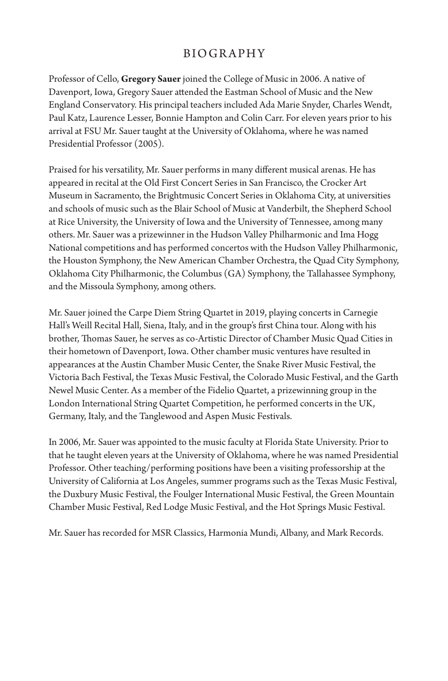## BIOGRAPHY

Professor of Cello, **Gregory Sauer** joined the College of Music in 2006. A native of Davenport, Iowa, Gregory Sauer attended the Eastman School of Music and the New England Conservatory. His principal teachers included Ada Marie Snyder, Charles Wendt, Paul Katz, Laurence Lesser, Bonnie Hampton and Colin Carr. For eleven years prior to his arrival at FSU Mr. Sauer taught at the University of Oklahoma, where he was named Presidential Professor (2005).

Praised for his versatility, Mr. Sauer performs in many different musical arenas. He has appeared in recital at the Old First Concert Series in San Francisco, the Crocker Art Museum in Sacramento, the Brightmusic Concert Series in Oklahoma City, at universities and schools of music such as the Blair School of Music at Vanderbilt, the Shepherd School at Rice University, the University of Iowa and the University of Tennessee, among many others. Mr. Sauer was a prizewinner in the Hudson Valley Philharmonic and Ima Hogg National competitions and has performed concertos with the Hudson Valley Philharmonic, the Houston Symphony, the New American Chamber Orchestra, the Quad City Symphony, Oklahoma City Philharmonic, the Columbus (GA) Symphony, the Tallahassee Symphony, and the Missoula Symphony, among others.

Mr. Sauer joined the Carpe Diem String Quartet in 2019, playing concerts in Carnegie Hall's Weill Recital Hall, Siena, Italy, and in the group's first China tour. Along with his brother, Thomas Sauer, he serves as co-Artistic Director of Chamber Music Quad Cities in their hometown of Davenport, Iowa. Other chamber music ventures have resulted in appearances at the Austin Chamber Music Center, the Snake River Music Festival, the Victoria Bach Festival, the Texas Music Festival, the Colorado Music Festival, and the Garth Newel Music Center. As a member of the Fidelio Quartet, a prizewinning group in the London International String Quartet Competition, he performed concerts in the UK, Germany, Italy, and the Tanglewood and Aspen Music Festivals.

In 2006, Mr. Sauer was appointed to the music faculty at Florida State University. Prior to that he taught eleven years at the University of Oklahoma, where he was named Presidential Professor. Other teaching/performing positions have been a visiting professorship at the University of California at Los Angeles, summer programs such as the Texas Music Festival, the Duxbury Music Festival, the Foulger International Music Festival, the Green Mountain Chamber Music Festival, Red Lodge Music Festival, and the Hot Springs Music Festival.

Mr. Sauer has recorded for MSR Classics, Harmonia Mundi, Albany, and Mark Records.